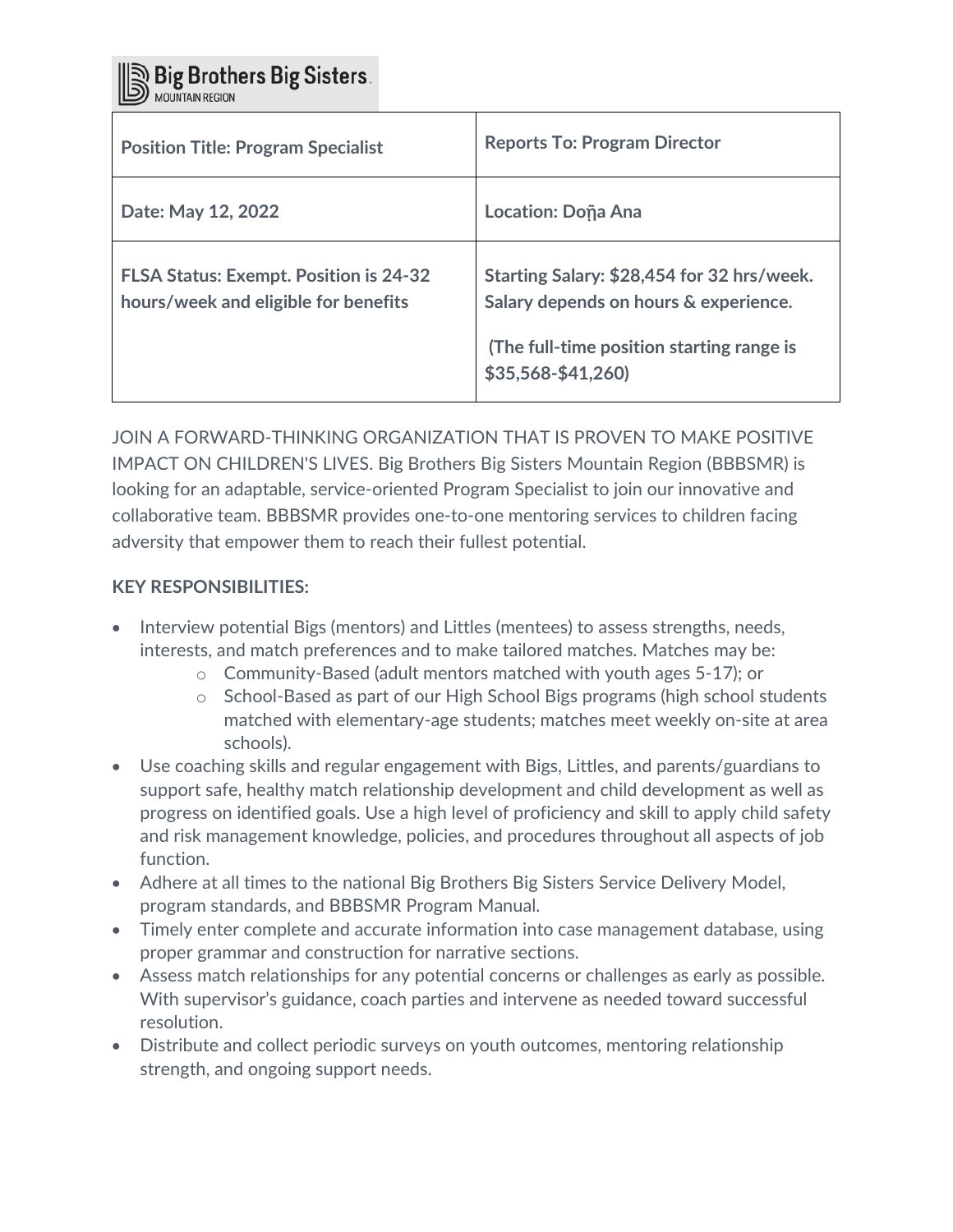Big Brothers Big Sisters.

| <b>Position Title: Program Specialist</b>                                             | <b>Reports To: Program Director</b>                                                                                                                     |
|---------------------------------------------------------------------------------------|---------------------------------------------------------------------------------------------------------------------------------------------------------|
| Date: May 12, 2022                                                                    | Location: Doña Ana                                                                                                                                      |
| <b>FLSA Status: Exempt. Position is 24-32</b><br>hours/week and eligible for benefits | Starting Salary: \$28,454 for 32 hrs/week.<br>Salary depends on hours & experience.<br>(The full-time position starting range is<br>$$35,568 - $41,260$ |

JOIN A FORWARD-THINKING ORGANIZATION THAT IS PROVEN TO MAKE POSITIVE IMPACT ON CHILDREN'S LIVES. Big Brothers Big Sisters Mountain Region (BBBSMR) is looking for an adaptable, service-oriented Program Specialist to join our innovative and collaborative team. BBBSMR provides one-to-one mentoring services to children facing adversity that empower them to reach their fullest potential.

### **KEY RESPONSIBILITIES:**

- Interview potential Bigs (mentors) and Littles (mentees) to assess strengths, needs, interests, and match preferences and to make tailored matches. Matches may be:
	- o Community-Based (adult mentors matched with youth ages 5-17); or
	- $\circ$  School-Based as part of our High School Bigs programs (high school students matched with elementary-age students; matches meet weekly on-site at area schools).
- Use coaching skills and regular engagement with Bigs, Littles, and parents/guardians to support safe, healthy match relationship development and child development as well as progress on identified goals. Use a high level of proficiency and skill to apply child safety and risk management knowledge, policies, and procedures throughout all aspects of job function.
- Adhere at all times to the national Big Brothers Big Sisters Service Delivery Model, program standards, and BBBSMR Program Manual.
- Timely enter complete and accurate information into case management database, using proper grammar and construction for narrative sections.
- Assess match relationships for any potential concerns or challenges as early as possible. With supervisor's guidance, coach parties and intervene as needed toward successful resolution.
- Distribute and collect periodic surveys on youth outcomes, mentoring relationship strength, and ongoing support needs.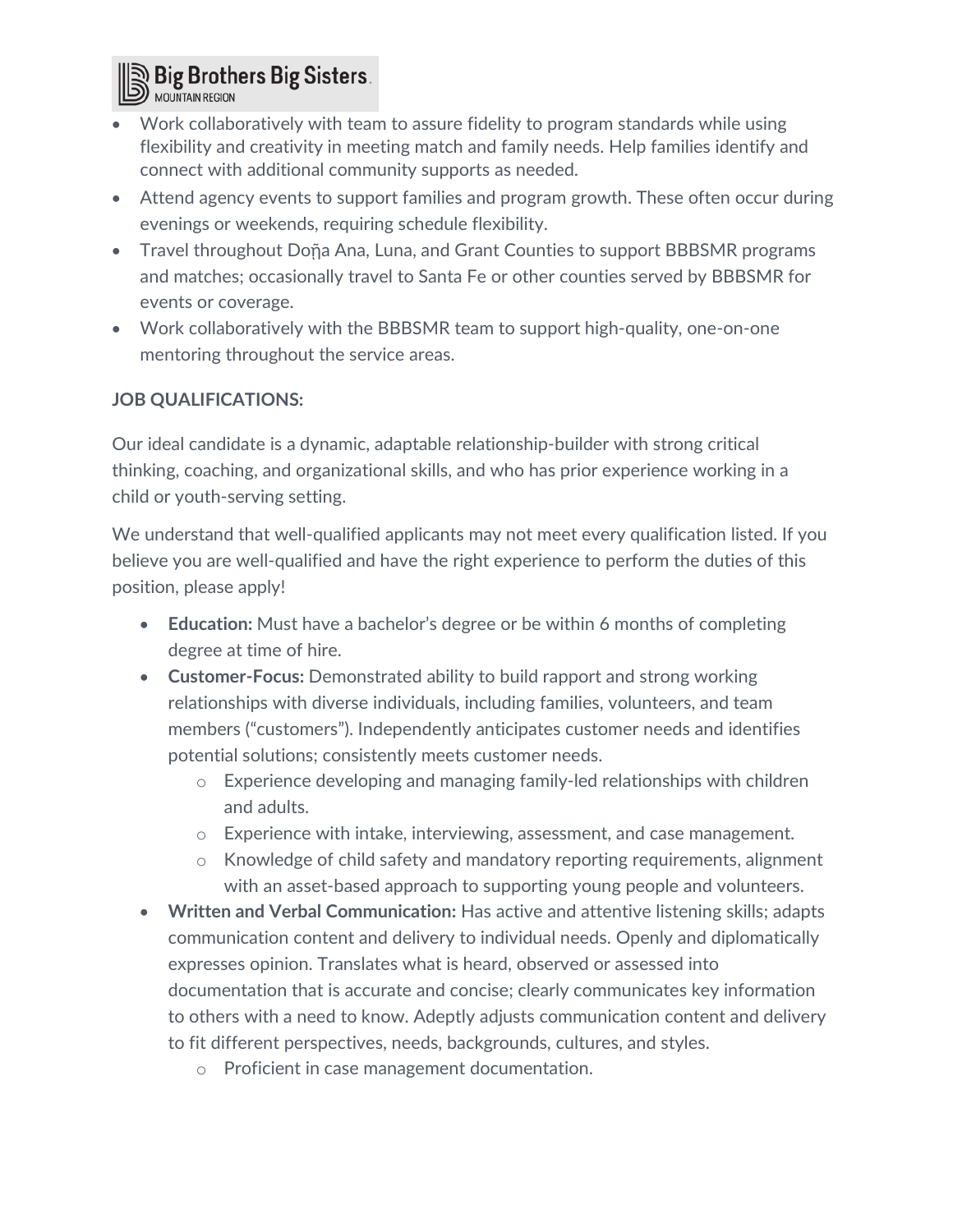

- Work collaboratively with team to assure fidelity to program standards while using flexibility and creativity in meeting match and family needs. Help families identify and connect with additional community supports as needed.
- Attend agency events to support families and program growth. These often occur during evenings or weekends, requiring schedule flexibility.
- Travel throughout Doña Ana, Luna, and Grant Counties to support BBBSMR programs and matches; occasionally travel to Santa Fe or other counties served by BBBSMR for events or coverage.
- Work collaboratively with the BBBSMR team to support high-quality, one-on-one mentoring throughout the service areas.

# **JOB QUALIFICATIONS:**

Our ideal candidate is a dynamic, adaptable relationship-builder with strong critical thinking, coaching, and organizational skills, and who has prior experience working in a child or youth-serving setting.

We understand that well-qualified applicants may not meet every qualification listed. If you believe you are well-qualified and have the right experience to perform the duties of this position, please apply!

- **Education:** Must have a bachelor's degree or be within 6 months of completing degree at time of hire.
- **Customer-Focus:** Demonstrated ability to build rapport and strong working relationships with diverse individuals, including families, volunteers, and team members ("customers"). Independently anticipates customer needs and identifies potential solutions; consistently meets customer needs.
	- o Experience developing and managing family-led relationships with children and adults.
	- o Experience with intake, interviewing, assessment, and case management.
	- o Knowledge of child safety and mandatory reporting requirements, alignment with an asset-based approach to supporting young people and volunteers.
- **Written and Verbal Communication:** Has active and attentive listening skills; adapts communication content and delivery to individual needs. Openly and diplomatically expresses opinion. Translates what is heard, observed or assessed into documentation that is accurate and concise; clearly communicates key information to others with a need to know. Adeptly adjusts communication content and delivery to fit different perspectives, needs, backgrounds, cultures, and styles.
	- o Proficient in case management documentation.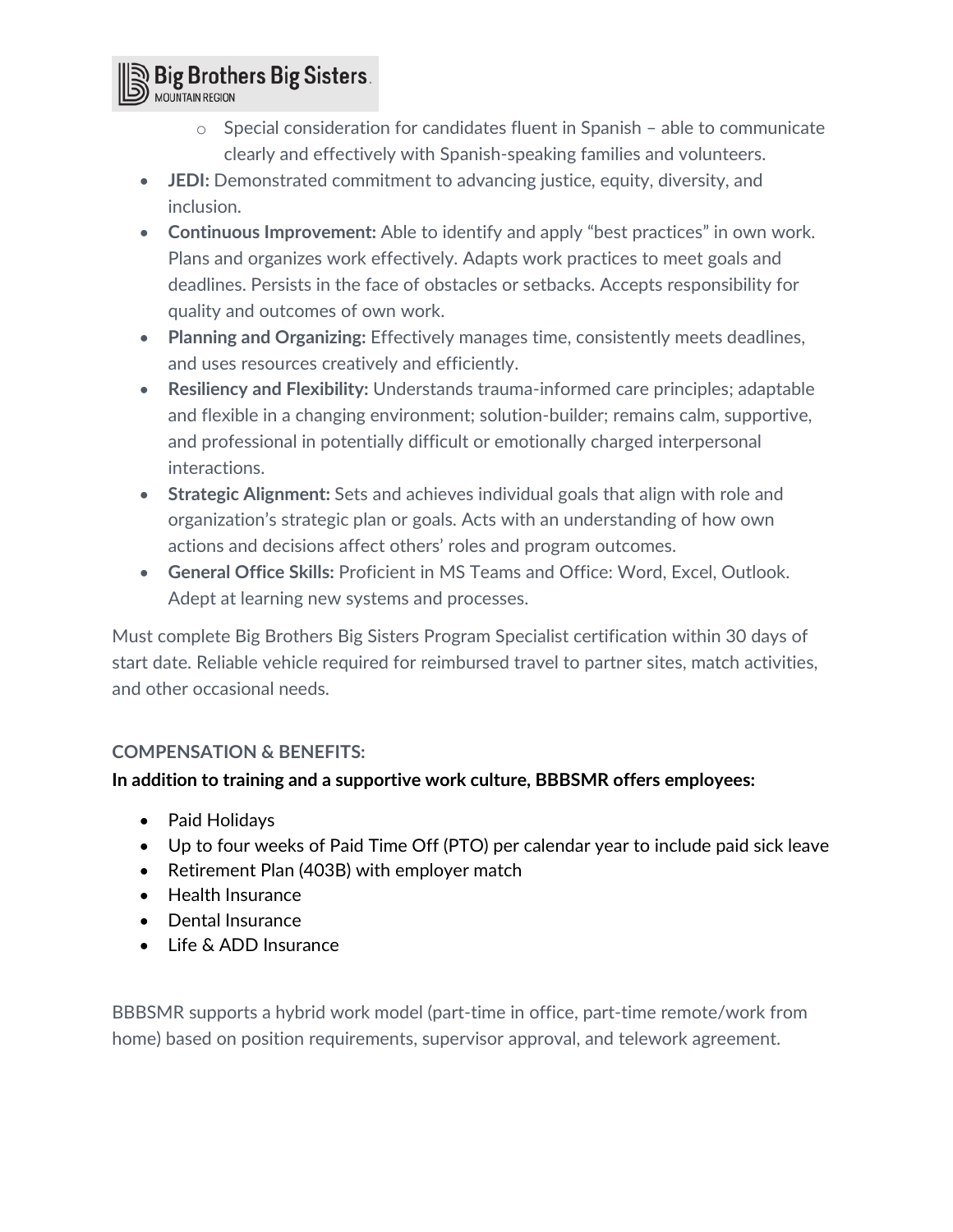

- o Special consideration for candidates fluent in Spanish able to communicate clearly and effectively with Spanish-speaking families and volunteers.
- **JEDI:** Demonstrated commitment to advancing justice, equity, diversity, and inclusion.
- **Continuous Improvement:** Able to identify and apply "best practices" in own work. Plans and organizes work effectively. Adapts work practices to meet goals and deadlines. Persists in the face of obstacles or setbacks. Accepts responsibility for quality and outcomes of own work.
- **Planning and Organizing:** Effectively manages time, consistently meets deadlines, and uses resources creatively and efficiently.
- **Resiliency and Flexibility:** Understands trauma-informed care principles; adaptable and flexible in a changing environment; solution-builder; remains calm, supportive, and professional in potentially difficult or emotionally charged interpersonal interactions.
- **Strategic Alignment:** Sets and achieves individual goals that align with role and organization's strategic plan or goals. Acts with an understanding of how own actions and decisions affect others' roles and program outcomes.
- **General Office Skills:** Proficient in MS Teams and Office: Word, Excel, Outlook. Adept at learning new systems and processes.

Must complete Big Brothers Big Sisters Program Specialist certification within 30 days of start date. Reliable vehicle required for reimbursed travel to partner sites, match activities, and other occasional needs.

# **COMPENSATION & BENEFITS:**

# **In addition to training and a supportive work culture, BBBSMR offers employees:**

- Paid Holidays
- Up to four weeks of Paid Time Off (PTO) per calendar year to include paid sick leave
- Retirement Plan (403B) with employer match
- Health Insurance
- Dental Insurance
- Life & ADD Insurance

BBBSMR supports a hybrid work model (part-time in office, part-time remote/work from home) based on position requirements, supervisor approval, and telework agreement.